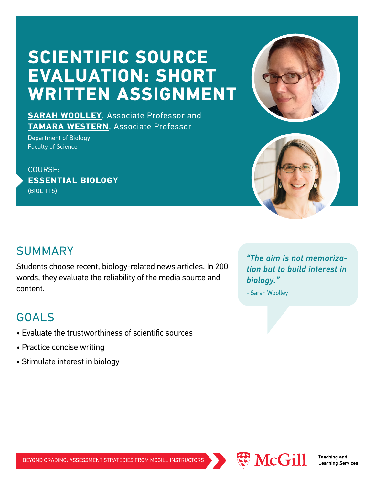# **SCIENTIFIC SOURCE EVALUATION: SHORT WRITTEN ASSIGNMENT**



**[SARAH WOOLLEY](https://www.mcgill.ca/biology/sarah-woolley)**, Associate Professor and **[TAMARA WESTERN](https://www.mcgill.ca/biology/tamara-western)**, Associate Professor

Department of Biology Faculty of Science

COURSE: **ESSENTIAL BIOLOGY** (BIOL 115)

#### SUMMARY

Students choose recent, biology-related news articles. In 200 words, they evaluate the reliability of the media source and content.

#### GOALS

- Evaluate the trustworthiness of scientific sources
- Practice concise writing
- Stimulate interest in biology

*"The aim is not memorization but to build interest in biology."* 

- Sarah Woolley